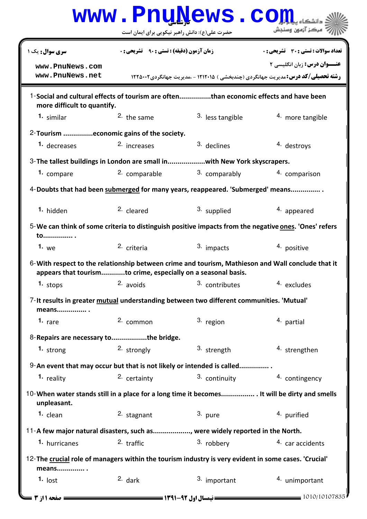|                                                                                                                      | www.PnuNews.co                                                |                  |                                                                                                                                 |
|----------------------------------------------------------------------------------------------------------------------|---------------------------------------------------------------|------------------|---------------------------------------------------------------------------------------------------------------------------------|
|                                                                                                                      | حضرت علی(ع): دانش راهبر نیکویی برای ایمان است                 |                  | .<br>- مرڪز آزمون وسنڊش                                                                                                         |
| <b>سری سوال :</b> یک ۱                                                                                               | <b>زمان آزمون (دقیقه) : تستی : 90 ٪ تشریحی : 0</b>            |                  | تعداد سوالات : تستي : 30 ٪ تشريحي : 0                                                                                           |
| www.PnuNews.com<br>www.PnuNews.net                                                                                   |                                                               |                  | <b>عنـــوان درس:</b> زبان انگلیسی ۲<br><b>رشته تحصیلی/کد درس: م</b> دیریت جهانگردی (چندبخشی ) ۱۲۱۲۰۱۵ - ،مدیریت جهانگردی1۲۲۵۰۰۲ |
| 1-Social and cultural effects of tourism are oftenthan economic effects and have been<br>more difficult to quantify. |                                                               |                  |                                                                                                                                 |
| 1. similar                                                                                                           | $2.$ the same                                                 | 3. less tangible | 4. more tangible                                                                                                                |
| 2-Tourism economic gains of the society.                                                                             |                                                               |                  |                                                                                                                                 |
| 1. decreases                                                                                                         | 2. increases                                                  | 3. declines      | 4. destroys                                                                                                                     |
| 3- The tallest buildings in London are small inwith New York skyscrapers.                                            |                                                               |                  |                                                                                                                                 |
| 1. compare                                                                                                           | 2. comparable                                                 | 3. comparably    | 4. comparison                                                                                                                   |
| 4-Doubts that had been submerged for many years, reappeared. 'Submerged' means                                       |                                                               |                  |                                                                                                                                 |
| 1. hidden                                                                                                            | 2. cleared                                                    | 3. supplied      | 4. appeared                                                                                                                     |
| 5-We can think of some criteria to distinguish positive impacts from the negative <b>ones</b> . 'Ones' refers<br>to  |                                                               |                  |                                                                                                                                 |
| 1. $we$                                                                                                              | 2. criteria                                                   | 3. impacts       | 4. positive                                                                                                                     |
| 6-With respect to the relationship between crime and tourism, Mathieson and Wall conclude that it                    | appears that tourismto crime, especially on a seasonal basis. |                  |                                                                                                                                 |
| 1. $stops$                                                                                                           | 2. avoids                                                     | 3. contributes   | 4. excludes                                                                                                                     |
| 7-It results in greater mutual understanding between two different communities. 'Mutual'<br>means                    |                                                               |                  |                                                                                                                                 |
| 1. rare                                                                                                              | 2. common                                                     | 3. region        | 4. partial                                                                                                                      |
| 8-Repairs are necessary to     the bridge.                                                                           |                                                               |                  |                                                                                                                                 |
| 1. strong                                                                                                            | 2. strongly                                                   | 3. strength      | 4. strengthen                                                                                                                   |
| 9-An event that may occur but that is not likely or intended is called                                               |                                                               |                  |                                                                                                                                 |
| 1. reality                                                                                                           | 2. certainty                                                  | 3. continuity    | 4. contingency                                                                                                                  |
| 10-When water stands still in a place for a long time it becomes It will be dirty and smells<br>unpleasant.          |                                                               |                  |                                                                                                                                 |
| $1.$ clean                                                                                                           | 2. stagnant                                                   | 3. pure          | 4. purified                                                                                                                     |
| 11-A few major natural disasters, such as, were widely reported in the North.                                        |                                                               |                  |                                                                                                                                 |
| 1. hurricanes                                                                                                        | $2.$ traffic                                                  | 3. robbery       | 4. car accidents                                                                                                                |
| 12-The crucial role of managers within the tourism industry is very evident in some cases. 'Crucial'<br>means .      |                                                               |                  |                                                                                                                                 |
| 1. $\mathsf{lost}$                                                                                                   | $2.$ dark                                                     | 3. important     | 4. unimportant                                                                                                                  |
| <b>= 31 مفحه 11; 3</b> =                                                                                             | <b>= نیمسال اول 92-1391 <del>----</del></b>                   |                  | $= 1010/10107835$                                                                                                               |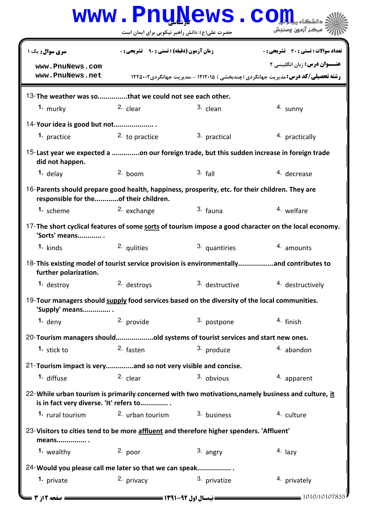|                                                                                                                                                 | www.PnuNews.co                                   |                |                                                                                          |  |  |  |
|-------------------------------------------------------------------------------------------------------------------------------------------------|--------------------------------------------------|----------------|------------------------------------------------------------------------------------------|--|--|--|
|                                                                                                                                                 | حضرت علی(ع): دانش راهبر نیکویی برای ایمان است    |                | مركز آزمون وسنجش                                                                         |  |  |  |
| <b>سری سوال :</b> یک ۱                                                                                                                          | <b>زمان آزمون (دقیقه) : تستی : ۹۰٪ تشریحی: 0</b> |                | تعداد سوالات : تستي : 30 ٪ تشريحي : 0                                                    |  |  |  |
| www.PnuNews.com                                                                                                                                 |                                                  |                | <b>عنـــوان درس:</b> زبان انگلیسی ۲                                                      |  |  |  |
| www.PnuNews.net                                                                                                                                 |                                                  |                | <b>رشته تحصیلی/کد درس: م</b> دیریت جهانگردی (چندبخشی ) ۱۲۱۲۰۱۵ - ،مدیریت جهانگردی۱۲۲۵۰۰۲ |  |  |  |
| 13-The weather was so      that we could not see each other.                                                                                    |                                                  |                |                                                                                          |  |  |  |
| 1. murky                                                                                                                                        | 2. clear                                         | 3. clean       | 4. sunny                                                                                 |  |  |  |
| 14-Your idea is good but not                                                                                                                    |                                                  |                |                                                                                          |  |  |  |
| 1. practice                                                                                                                                     | 2. to practice                                   | 3. practical   | 4. practically                                                                           |  |  |  |
| 15-Last year we expected a on our foreign trade, but this sudden increase in foreign trade<br>did not happen.                                   |                                                  |                |                                                                                          |  |  |  |
| 1. delay                                                                                                                                        | $2.$ boom                                        | $3.$ fall      | 4. decrease                                                                              |  |  |  |
| 16-Parents should prepare good health, happiness, prosperity, etc. for their children. They are<br>responsible for theof their children.        |                                                  |                |                                                                                          |  |  |  |
| 1. scheme                                                                                                                                       | 2. exchange                                      | 3. fauna       | 4. welfare                                                                               |  |  |  |
| 17-The short cyclical features of some sorts of tourism impose a good character on the local economy.<br>'Sorts' means                          |                                                  |                |                                                                                          |  |  |  |
| 1. kinds                                                                                                                                        | 2. qulities                                      | 3. quantiries  | 4. amounts                                                                               |  |  |  |
| 18-This existing model of tourist service provision is environmentallyand contributes to<br>further polarization.                               |                                                  |                |                                                                                          |  |  |  |
| 1. destroy                                                                                                                                      | 2. destroys                                      | 3. destructive | 4. destructively                                                                         |  |  |  |
| 19-Tour managers should supply food services based on the diversity of the local communities.<br>'Supply' means                                 |                                                  |                |                                                                                          |  |  |  |
| $1.$ deny                                                                                                                                       | 2. provide                                       | 3. postpone    | 4. finish                                                                                |  |  |  |
| 20-Tourism managers shouldold systems of tourist services and start new ones.                                                                   |                                                  |                |                                                                                          |  |  |  |
| 1. stick to                                                                                                                                     | 2. fasten                                        | 3. produce     | 4. abandon                                                                               |  |  |  |
| 21-Tourism impact is veryand so not very visible and concise.                                                                                   |                                                  |                |                                                                                          |  |  |  |
| 1. diffuse                                                                                                                                      | 2. clear                                         | 3. obvious     | 4. apparent                                                                              |  |  |  |
| 22- While urban tourism is primarily concerned with two motivations, namely business and culture, it<br>is in fact very diverse. 'It' refers to |                                                  |                |                                                                                          |  |  |  |
| 1. rural tourism                                                                                                                                | 2. urban tourism                                 | 3. business    | 4. culture                                                                               |  |  |  |
| 23-Visitors to cities tend to be more affluent and therefore higher spenders. 'Affluent'<br>means                                               |                                                  |                |                                                                                          |  |  |  |
| 1. wealthy                                                                                                                                      | $2.$ poor                                        | 3. angry       | $4.$ lazy                                                                                |  |  |  |
| 24- Would you please call me later so that we can speak                                                                                         |                                                  |                |                                                                                          |  |  |  |
| 1. private                                                                                                                                      | 2. privacy                                       | 3. privatize   | 4. privately                                                                             |  |  |  |
| $= 1010/10107835$<br><b>= نیمسال اول 92-1391 ---</b><br>صفحه 12; 3                                                                              |                                                  |                |                                                                                          |  |  |  |